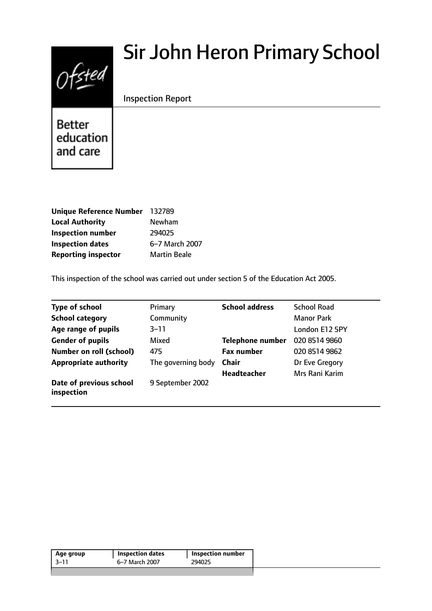# $0$ fsted

# Sir John Heron Primary School

Inspection Report

**Better** education and care

| Unique Reference Number 132789 |                     |
|--------------------------------|---------------------|
| <b>Local Authority</b>         | Newham              |
| <b>Inspection number</b>       | 294025              |
| <b>Inspection dates</b>        | 6-7 March 2007      |
| <b>Reporting inspector</b>     | <b>Martin Beale</b> |

This inspection of the school was carried out under section 5 of the Education Act 2005.

| <b>Type of school</b>                 | Primary            | <b>School address</b>   | <b>School Road</b> |
|---------------------------------------|--------------------|-------------------------|--------------------|
| <b>School category</b>                | Community          |                         | <b>Manor Park</b>  |
| Age range of pupils                   | $3 - 11$           |                         | London E12 5PY     |
| <b>Gender of pupils</b>               | Mixed              | <b>Telephone number</b> | 020 8514 9860      |
| Number on roll (school)               | 475                | <b>Fax number</b>       | 020 8514 9862      |
| <b>Appropriate authority</b>          | The governing body | <b>Chair</b>            | Dr Eve Gregory     |
|                                       |                    | Headteacher             | Mrs Rani Karim     |
| Date of previous school<br>inspection | 9 September 2002   |                         |                    |

| Age group | <b>Inspection dates</b> | Inspection number |
|-----------|-------------------------|-------------------|
| -3–11     | 6–7 March 2007          | 294025            |
|           |                         |                   |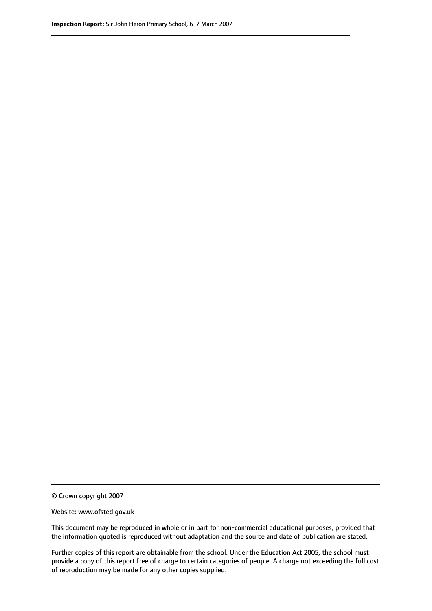© Crown copyright 2007

Website: www.ofsted.gov.uk

This document may be reproduced in whole or in part for non-commercial educational purposes, provided that the information quoted is reproduced without adaptation and the source and date of publication are stated.

Further copies of this report are obtainable from the school. Under the Education Act 2005, the school must provide a copy of this report free of charge to certain categories of people. A charge not exceeding the full cost of reproduction may be made for any other copies supplied.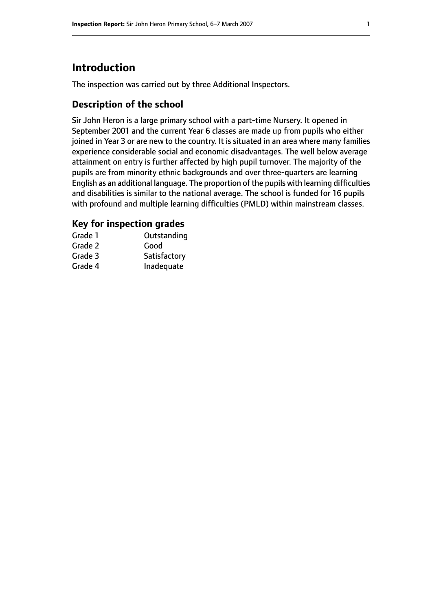# **Introduction**

The inspection was carried out by three Additional Inspectors.

# **Description of the school**

Sir John Heron is a large primary school with a part-time Nursery. It opened in September 2001 and the current Year 6 classes are made up from pupils who either joined in Year 3 or are new to the country. It is situated in an area where many families experience considerable social and economic disadvantages. The well below average attainment on entry is further affected by high pupil turnover. The majority of the pupils are from minority ethnic backgrounds and over three-quarters are learning English as an additional language. The proportion of the pupils with learning difficulties and disabilities is similar to the national average. The school is funded for 16 pupils with profound and multiple learning difficulties (PMLD) within mainstream classes.

# **Key for inspection grades**

| Grade 1 | Outstanding  |
|---------|--------------|
| Grade 2 | Good         |
| Grade 3 | Satisfactory |
| Grade 4 | Inadequate   |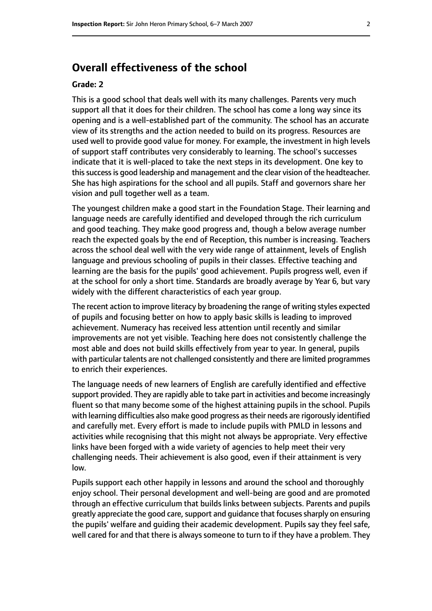# **Overall effectiveness of the school**

#### **Grade: 2**

This is a good school that deals well with its many challenges. Parents very much support all that it does for their children. The school has come a long way since its opening and is a well-established part of the community. The school has an accurate view of its strengths and the action needed to build on its progress. Resources are used well to provide good value for money. For example, the investment in high levels of support staff contributes very considerably to learning. The school's successes indicate that it is well-placed to take the next steps in its development. One key to this success is good leadership and management and the clear vision of the headteacher. She has high aspirations for the school and all pupils. Staff and governors share her vision and pull together well as a team.

The youngest children make a good start in the Foundation Stage. Their learning and language needs are carefully identified and developed through the rich curriculum and good teaching. They make good progress and, though a below average number reach the expected goals by the end of Reception, this number is increasing. Teachers across the school deal well with the very wide range of attainment, levels of English language and previous schooling of pupils in their classes. Effective teaching and learning are the basis for the pupils' good achievement. Pupils progress well, even if at the school for only a short time. Standards are broadly average by Year 6, but vary widely with the different characteristics of each year group.

The recent action to improve literacy by broadening the range of writing styles expected of pupils and focusing better on how to apply basic skills is leading to improved achievement. Numeracy has received less attention until recently and similar improvements are not yet visible. Teaching here does not consistently challenge the most able and does not build skills effectively from year to year. In general, pupils with particular talents are not challenged consistently and there are limited programmes to enrich their experiences.

The language needs of new learners of English are carefully identified and effective support provided. They are rapidly able to take part in activities and become increasingly fluent so that many become some of the highest attaining pupils in the school. Pupils with learning difficulties also make good progress as their needs are rigorously identified and carefully met. Every effort is made to include pupils with PMLD in lessons and activities while recognising that this might not always be appropriate. Very effective links have been forged with a wide variety of agencies to help meet their very challenging needs. Their achievement is also good, even if their attainment is very low.

Pupils support each other happily in lessons and around the school and thoroughly enjoy school. Their personal development and well-being are good and are promoted through an effective curriculum that builds links between subjects. Parents and pupils greatly appreciate the good care, support and guidance that focuses sharply on ensuring the pupils' welfare and guiding their academic development. Pupils say they feel safe, well cared for and that there is always someone to turn to if they have a problem. They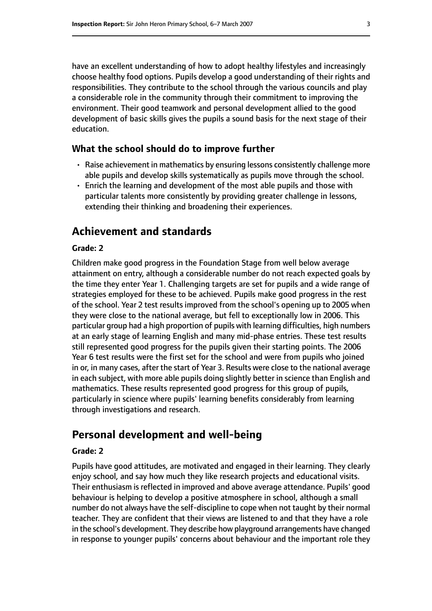have an excellent understanding of how to adopt healthy lifestyles and increasingly choose healthy food options. Pupils develop a good understanding of their rights and responsibilities. They contribute to the school through the various councils and play a considerable role in the community through their commitment to improving the environment. Their good teamwork and personal development allied to the good development of basic skills gives the pupils a sound basis for the next stage of their education.

#### **What the school should do to improve further**

- Raise achievement in mathematics by ensuring lessons consistently challenge more able pupils and develop skills systematically as pupils move through the school.
- Enrich the learning and development of the most able pupils and those with particular talents more consistently by providing greater challenge in lessons, extending their thinking and broadening their experiences.

#### **Achievement and standards**

#### **Grade: 2**

Children make good progress in the Foundation Stage from well below average attainment on entry, although a considerable number do not reach expected goals by the time they enter Year 1. Challenging targets are set for pupils and a wide range of strategies employed for these to be achieved. Pupils make good progress in the rest of the school. Year 2 test results improved from the school's opening up to 2005 when they were close to the national average, but fell to exceptionally low in 2006. This particular group had a high proportion of pupils with learning difficulties, high numbers at an early stage of learning English and many mid-phase entries. These test results still represented good progress for the pupils given their starting points. The 2006 Year 6 test results were the first set for the school and were from pupils who joined in or, in many cases, after the start of Year 3. Results were close to the national average in each subject, with more able pupils doing slightly better in science than English and mathematics. These results represented good progress for this group of pupils, particularly in science where pupils' learning benefits considerably from learning through investigations and research.

# **Personal development and well-being**

#### **Grade: 2**

Pupils have good attitudes, are motivated and engaged in their learning. They clearly enjoy school, and say how much they like research projects and educational visits. Their enthusiasm is reflected in improved and above average attendance. Pupils' good behaviour is helping to develop a positive atmosphere in school, although a small number do not always have the self-discipline to cope when not taught by their normal teacher. They are confident that their views are listened to and that they have a role in the school's development. They describe how playground arrangements have changed in response to younger pupils' concerns about behaviour and the important role they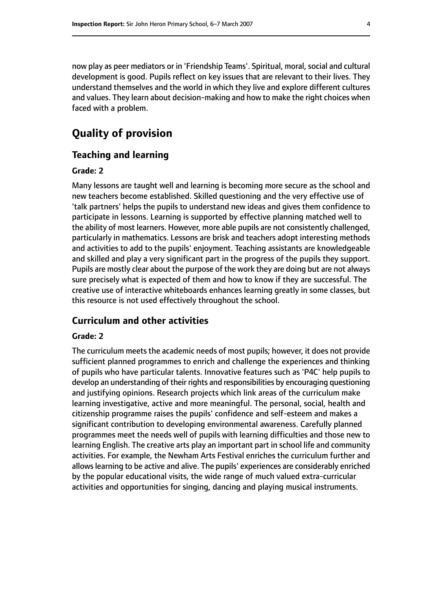now play as peer mediators or in 'Friendship Teams'. Spiritual, moral, social and cultural development is good. Pupils reflect on key issues that are relevant to their lives. They understand themselves and the world in which they live and explore different cultures and values. They learn about decision-making and how to make the right choices when faced with a problem.

# **Quality of provision**

#### **Teaching and learning**

#### **Grade: 2**

Many lessons are taught well and learning is becoming more secure as the school and new teachers become established. Skilled questioning and the very effective use of 'talk partners' helps the pupils to understand new ideas and gives them confidence to participate in lessons. Learning is supported by effective planning matched well to the ability of most learners. However, more able pupils are not consistently challenged, particularly in mathematics. Lessons are brisk and teachers adopt interesting methods and activities to add to the pupils' enjoyment. Teaching assistants are knowledgeable and skilled and play a very significant part in the progress of the pupils they support. Pupils are mostly clear about the purpose of the work they are doing but are not always sure precisely what is expected of them and how to know if they are successful. The creative use of interactive whiteboards enhances learning greatly in some classes, but this resource is not used effectively throughout the school.

#### **Curriculum and other activities**

#### **Grade: 2**

The curriculum meets the academic needs of most pupils; however, it does not provide sufficient planned programmes to enrich and challenge the experiences and thinking of pupils who have particular talents. Innovative features such as 'P4C' help pupils to develop an understanding of their rights and responsibilities by encouraging questioning and justifying opinions. Research projects which link areas of the curriculum make learning investigative, active and more meaningful. The personal, social, health and citizenship programme raises the pupils' confidence and self-esteem and makes a significant contribution to developing environmental awareness. Carefully planned programmes meet the needs well of pupils with learning difficulties and those new to learning English. The creative arts play an important part in school life and community activities. For example, the Newham Arts Festival enriches the curriculum further and allows learning to be active and alive. The pupils' experiences are considerably enriched by the popular educational visits, the wide range of much valued extra-curricular activities and opportunities for singing, dancing and playing musical instruments.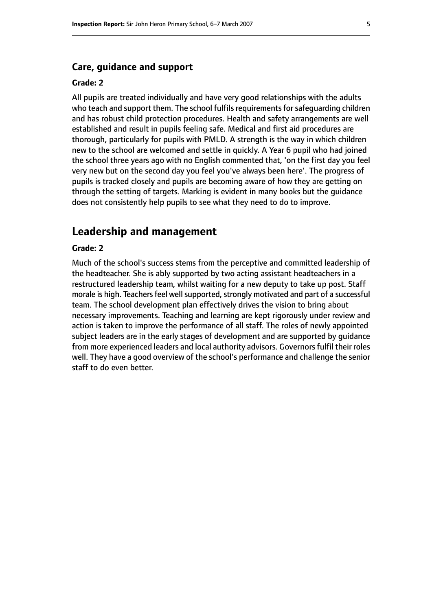#### **Care, guidance and support**

#### **Grade: 2**

All pupils are treated individually and have very good relationships with the adults who teach and support them. The school fulfils requirements for safeguarding children and has robust child protection procedures. Health and safety arrangements are well established and result in pupils feeling safe. Medical and first aid procedures are thorough, particularly for pupils with PMLD. A strength is the way in which children new to the school are welcomed and settle in quickly. A Year 6 pupil who had joined the school three years ago with no English commented that, 'on the first day you feel very new but on the second day you feel you've always been here'. The progress of pupils is tracked closely and pupils are becoming aware of how they are getting on through the setting of targets. Marking is evident in many books but the guidance does not consistently help pupils to see what they need to do to improve.

#### **Leadership and management**

#### **Grade: 2**

Much of the school's success stems from the perceptive and committed leadership of the headteacher. She is ably supported by two acting assistant headteachers in a restructured leadership team, whilst waiting for a new deputy to take up post. Staff morale is high. Teachers feel well supported, strongly motivated and part of a successful team. The school development plan effectively drives the vision to bring about necessary improvements. Teaching and learning are kept rigorously under review and action is taken to improve the performance of all staff. The roles of newly appointed subject leaders are in the early stages of development and are supported by guidance from more experienced leaders and local authority advisors. Governors fulfil their roles well. They have a good overview of the school's performance and challenge the senior staff to do even better.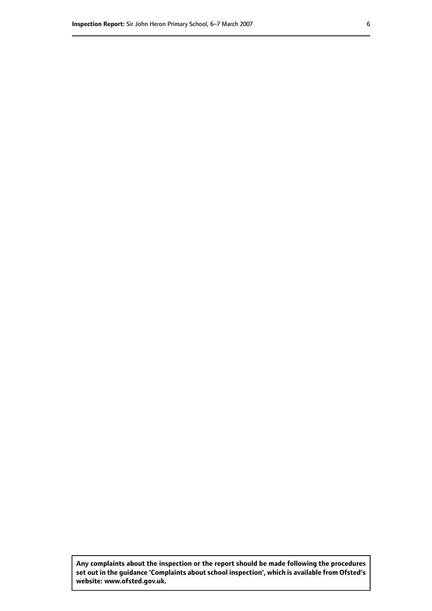**Any complaints about the inspection or the report should be made following the procedures set out inthe guidance 'Complaints about school inspection', whichis available from Ofsted's website: www.ofsted.gov.uk.**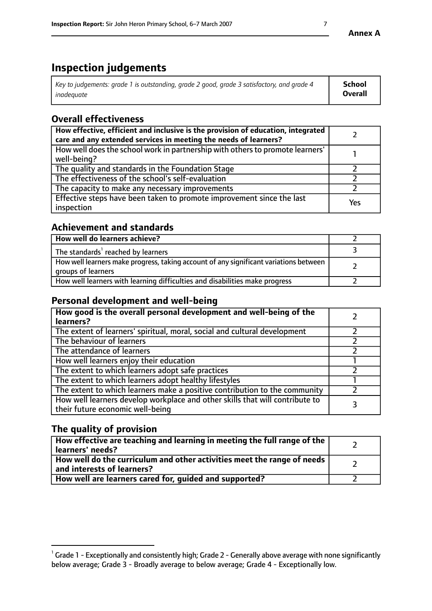# **Inspection judgements**

| Key to judgements: grade 1 is outstanding, grade 2 good, grade 3 satisfactory, and grade 4 | <b>School</b>  |
|--------------------------------------------------------------------------------------------|----------------|
| inadeauate                                                                                 | <b>Overall</b> |

# **Overall effectiveness**

| How effective, efficient and inclusive is the provision of education, integrated<br>care and any extended services in meeting the needs of learners? |     |
|------------------------------------------------------------------------------------------------------------------------------------------------------|-----|
| How well does the school work in partnership with others to promote learners'<br>well-being?                                                         |     |
| The quality and standards in the Foundation Stage                                                                                                    |     |
| The effectiveness of the school's self-evaluation                                                                                                    |     |
| The capacity to make any necessary improvements                                                                                                      |     |
| Effective steps have been taken to promote improvement since the last<br>inspection                                                                  | Yes |

### **Achievement and standards**

| How well do learners achieve?                                                                               |  |
|-------------------------------------------------------------------------------------------------------------|--|
| The standards <sup>1</sup> reached by learners                                                              |  |
| How well learners make progress, taking account of any significant variations between<br>groups of learners |  |
| How well learners with learning difficulties and disabilities make progress                                 |  |

## **Personal development and well-being**

| How good is the overall personal development and well-being of the<br>learners?                                  |  |
|------------------------------------------------------------------------------------------------------------------|--|
| The extent of learners' spiritual, moral, social and cultural development                                        |  |
| The behaviour of learners                                                                                        |  |
| The attendance of learners                                                                                       |  |
| How well learners enjoy their education                                                                          |  |
| The extent to which learners adopt safe practices                                                                |  |
| The extent to which learners adopt healthy lifestyles                                                            |  |
| The extent to which learners make a positive contribution to the community                                       |  |
| How well learners develop workplace and other skills that will contribute to<br>their future economic well-being |  |

# **The quality of provision**

| How effective are teaching and learning in meeting the full range of the<br>learners' needs?          |  |
|-------------------------------------------------------------------------------------------------------|--|
| How well do the curriculum and other activities meet the range of needs<br>and interests of learners? |  |
| How well are learners cared for, guided and supported?                                                |  |

 $^1$  Grade 1 - Exceptionally and consistently high; Grade 2 - Generally above average with none significantly below average; Grade 3 - Broadly average to below average; Grade 4 - Exceptionally low.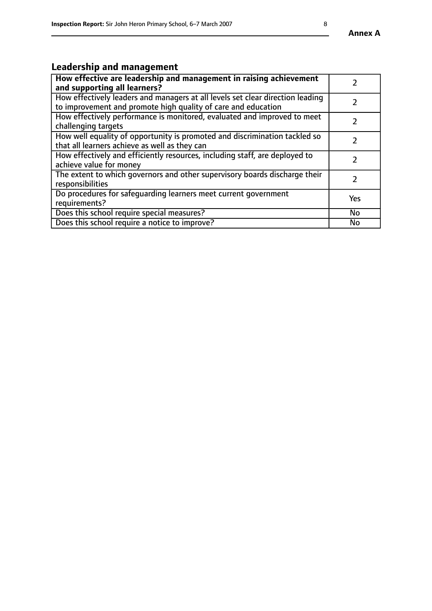# **Leadership and management**

| How effective are leadership and management in raising achievement<br>and supporting all learners?                                              |           |
|-------------------------------------------------------------------------------------------------------------------------------------------------|-----------|
| How effectively leaders and managers at all levels set clear direction leading<br>to improvement and promote high quality of care and education |           |
| How effectively performance is monitored, evaluated and improved to meet<br>challenging targets                                                 |           |
| How well equality of opportunity is promoted and discrimination tackled so<br>that all learners achieve as well as they can                     |           |
| How effectively and efficiently resources, including staff, are deployed to<br>achieve value for money                                          |           |
| The extent to which governors and other supervisory boards discharge their<br>responsibilities                                                  |           |
| Do procedures for safequarding learners meet current government<br>requirements?                                                                | Yes       |
| Does this school require special measures?                                                                                                      | No        |
| Does this school require a notice to improve?                                                                                                   | <b>No</b> |